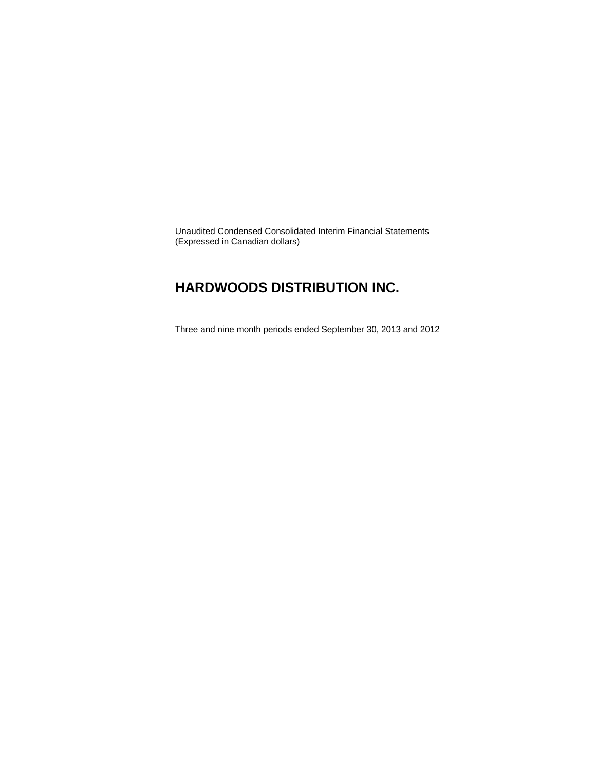Unaudited Condensed Consolidated Interim Financial Statements (Expressed in Canadian dollars)

### **HARDWOODS DISTRIBUTION INC.**

Three and nine month periods ended September 30, 2013 and 2012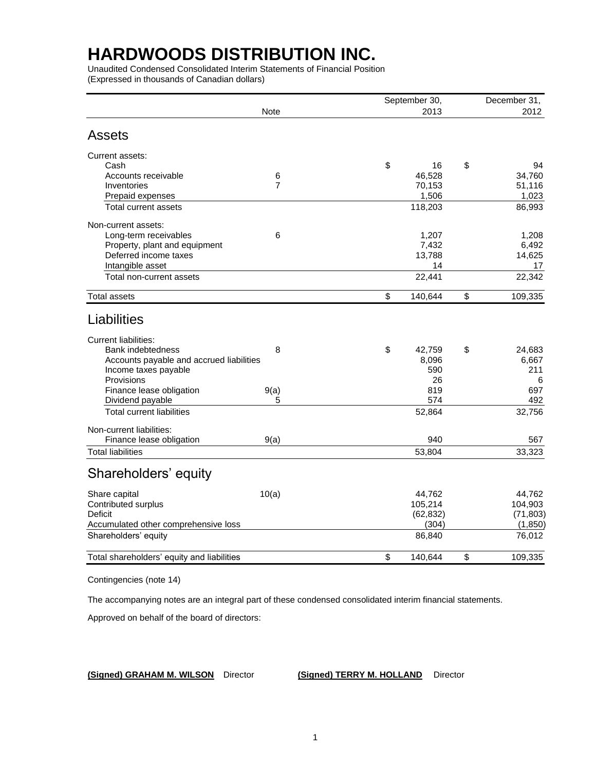Unaudited Condensed Consolidated Interim Statements of Financial Position (Expressed in thousands of Canadian dollars)

|                                            | <b>Note</b>    | September 30,<br>2013 | December 31,<br>2012 |
|--------------------------------------------|----------------|-----------------------|----------------------|
| <b>Assets</b>                              |                |                       |                      |
| Current assets:                            |                |                       |                      |
| Cash                                       |                | \$<br>16              | \$<br>94             |
| Accounts receivable                        | $\,6$          | 46,528                | 34,760               |
| Inventories                                | $\overline{7}$ | 70,153                | 51,116               |
| Prepaid expenses                           |                | 1,506                 | 1,023                |
| <b>Total current assets</b>                |                | 118,203               | 86,993               |
| Non-current assets:                        |                |                       |                      |
| Long-term receivables                      | 6              | 1,207                 | 1,208                |
| Property, plant and equipment              |                | 7,432                 | 6,492                |
| Deferred income taxes                      |                | 13,788                | 14,625               |
| Intangible asset                           |                | 14                    | 17                   |
| Total non-current assets                   |                | 22,441                | 22,342               |
| <b>Total assets</b>                        |                | \$<br>140,644         | \$<br>109,335        |
| Liabilities                                |                |                       |                      |
| <b>Current liabilities:</b>                |                |                       |                      |
| <b>Bank indebtedness</b>                   | 8              | \$<br>42,759          | \$<br>24,683         |
| Accounts payable and accrued liabilities   |                | 8,096                 | 6,667                |
| Income taxes payable                       |                | 590                   | 211                  |
| Provisions                                 |                | 26                    | 6                    |
| Finance lease obligation                   | 9(a)           | 819                   | 697                  |
| Dividend payable                           | 5              | 574                   | 492                  |
| <b>Total current liabilities</b>           |                | 52,864                | 32,756               |
| Non-current liabilities:                   |                |                       |                      |
| Finance lease obligation                   | 9(a)           | 940                   | 567                  |
| <b>Total liabilities</b>                   |                | 53,804                | 33,323               |
| Shareholders' equity                       |                |                       |                      |
| Share capital                              | 10(a)          | 44,762                | 44,762               |
| Contributed surplus                        |                | 105,214               | 104,903              |
| Deficit                                    |                | (62, 832)             | (71, 803)            |
| Accumulated other comprehensive loss       |                | (304)                 | (1, 850)             |
| Shareholders' equity                       |                | 86,840                | 76,012               |
| Total shareholders' equity and liabilities |                | \$<br>140,644         | \$<br>109,335        |
|                                            |                |                       |                      |

Contingencies (note 14)

The accompanying notes are an integral part of these condensed consolidated interim financial statements.

Approved on behalf of the board of directors:

**(Signed) GRAHAM M. WILSON** Director **(Signed) TERRY M. HOLLAND** Director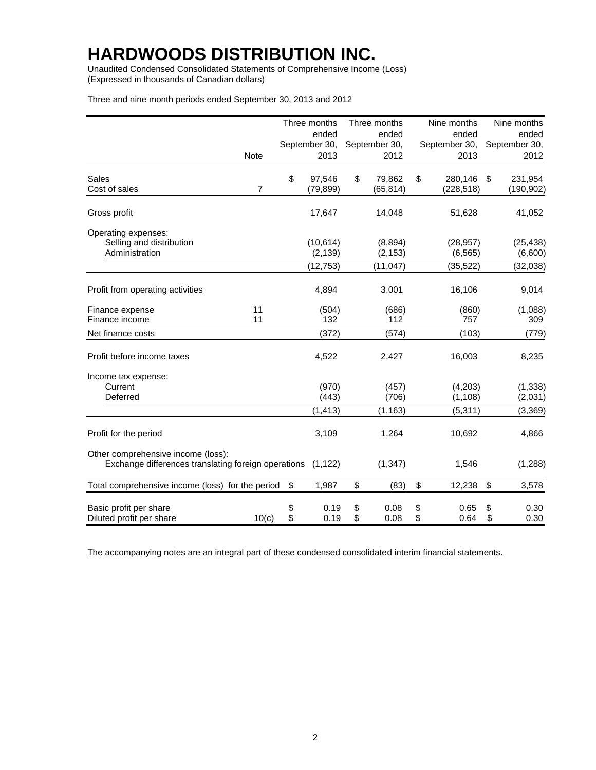Unaudited Condensed Consolidated Statements of Comprehensive Income (Loss) (Expressed in thousands of Canadian dollars)

|                                                                                           |                |          | Three months          |          | Three months        |          | Nine months           |          | Nine months          |
|-------------------------------------------------------------------------------------------|----------------|----------|-----------------------|----------|---------------------|----------|-----------------------|----------|----------------------|
|                                                                                           |                |          | ended                 |          | ended               |          | ended                 |          | ended                |
|                                                                                           |                |          | September 30,         |          | September 30,       |          | September 30,         |          | September 30,        |
| Note                                                                                      |                |          | 2013                  |          | 2012                |          | 2013                  |          | 2012                 |
| Sales                                                                                     |                | \$       | 97,546                | \$       | 79,862              | \$       | 280,146               | \$       | 231,954              |
| Cost of sales                                                                             | $\overline{7}$ |          | (79, 899)             |          | (65, 814)           |          | (228, 518)            |          | (190, 902)           |
| Gross profit                                                                              |                |          | 17,647                |          | 14,048              |          | 51,628                |          | 41,052               |
| Operating expenses:                                                                       |                |          |                       |          |                     |          |                       |          |                      |
| Selling and distribution<br>Administration                                                |                |          | (10, 614)<br>(2, 139) |          | (8,894)<br>(2, 153) |          | (28, 957)<br>(6, 565) |          | (25, 438)<br>(6,600) |
|                                                                                           |                |          | (12, 753)             |          | (11, 047)           |          | (35, 522)             |          | (32, 038)            |
| Profit from operating activities                                                          |                |          | 4,894                 |          | 3,001               |          | 16,106                |          | 9,014                |
| Finance expense                                                                           | 11             |          | (504)                 |          | (686)               |          | (860)                 |          | (1,088)              |
| Finance income                                                                            | 11             |          | 132                   |          | 112                 |          | 757                   |          | 309                  |
| Net finance costs                                                                         |                |          | (372)                 |          | (574)               |          | (103)                 |          | (779)                |
| Profit before income taxes                                                                |                |          | 4,522                 |          | 2,427               |          | 16,003                |          | 8,235                |
| Income tax expense:                                                                       |                |          |                       |          |                     |          |                       |          |                      |
| Current<br>Deferred                                                                       |                |          | (970)<br>(443)        |          | (457)<br>(706)      |          | (4,203)<br>(1, 108)   |          | (1, 338)<br>(2,031)  |
|                                                                                           |                |          | (1, 413)              |          | (1, 163)            |          | (5,311)               |          | (3, 369)             |
| Profit for the period                                                                     |                |          | 3,109                 |          | 1,264               |          | 10,692                |          | 4,866                |
| Other comprehensive income (loss):<br>Exchange differences translating foreign operations |                |          | (1, 122)              |          | (1, 347)            |          | 1,546                 |          | (1, 288)             |
| Total comprehensive income (loss) for the period                                          |                | \$       | 1,987                 | \$       | (83)                | \$       | 12,238                | \$       | 3,578                |
|                                                                                           |                |          |                       |          |                     |          |                       |          |                      |
| Basic profit per share<br>Diluted profit per share                                        | 10(c)          | \$<br>\$ | 0.19<br>0.19          | \$<br>\$ | 0.08<br>0.08        | \$<br>\$ | 0.65<br>0.64          | \$<br>\$ | 0.30<br>0.30         |

The accompanying notes are an integral part of these condensed consolidated interim financial statements.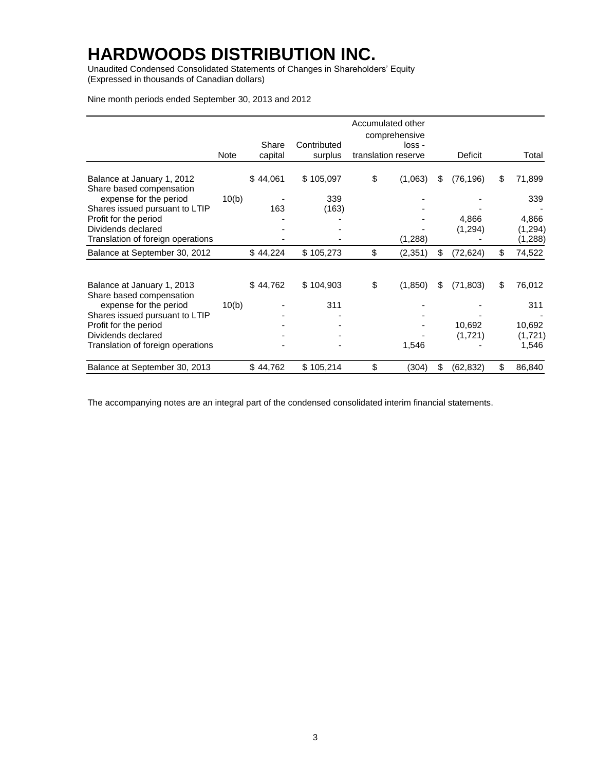Unaudited Condensed Consolidated Statements of Changes in Shareholders' Equity (Expressed in thousands of Canadian dollars)

Nine month periods ended September 30, 2013 and 2012

|                                                        |       |          |             | Accumulated other<br>comprehensive |     |                |    |          |
|--------------------------------------------------------|-------|----------|-------------|------------------------------------|-----|----------------|----|----------|
|                                                        |       | Share    | Contributed | loss -                             |     |                |    |          |
|                                                        | Note  | capital  | surplus     | translation reserve                |     | <b>Deficit</b> |    | Total    |
| Balance at January 1, 2012<br>Share based compensation |       | \$44,061 | \$105,097   | \$<br>(1,063)                      | \$. | (76, 196)      | S  | 71,899   |
| expense for the period                                 | 10(b) |          | 339         |                                    |     |                |    | 339      |
| Shares issued pursuant to LTIP                         |       | 163      | (163)       |                                    |     |                |    |          |
| Profit for the period                                  |       |          |             |                                    |     | 4,866          |    | 4,866    |
| Dividends declared                                     |       |          |             |                                    |     | (1, 294)       |    | (1, 294) |
| Translation of foreign operations                      |       |          |             | (1, 288)                           |     |                |    | (1,288)  |
| Balance at September 30, 2012                          |       | \$44,224 | \$105,273   | \$<br>(2, 351)                     |     | (72, 624)      | S. | 74,522   |
|                                                        |       |          |             |                                    |     |                |    |          |
| Balance at January 1, 2013<br>Share based compensation |       | \$44,762 | \$104,903   | \$<br>(1, 850)                     | \$. | (71, 803)      | \$ | 76,012   |
| expense for the period                                 | 10(b) |          | 311         |                                    |     |                |    | 311      |
| Shares issued pursuant to LTIP                         |       |          |             |                                    |     |                |    |          |
| Profit for the period                                  |       |          |             |                                    |     | 10,692         |    | 10,692   |
| Dividends declared                                     |       |          |             |                                    |     | (1,721)        |    | (1,721)  |
| Translation of foreign operations                      |       |          |             | 1,546                              |     |                |    | 1,546    |
| Balance at September 30, 2013                          |       | \$44,762 | \$105,214   | (304)                              |     | (62, 832)      | \$ | 86,840   |

The accompanying notes are an integral part of the condensed consolidated interim financial statements.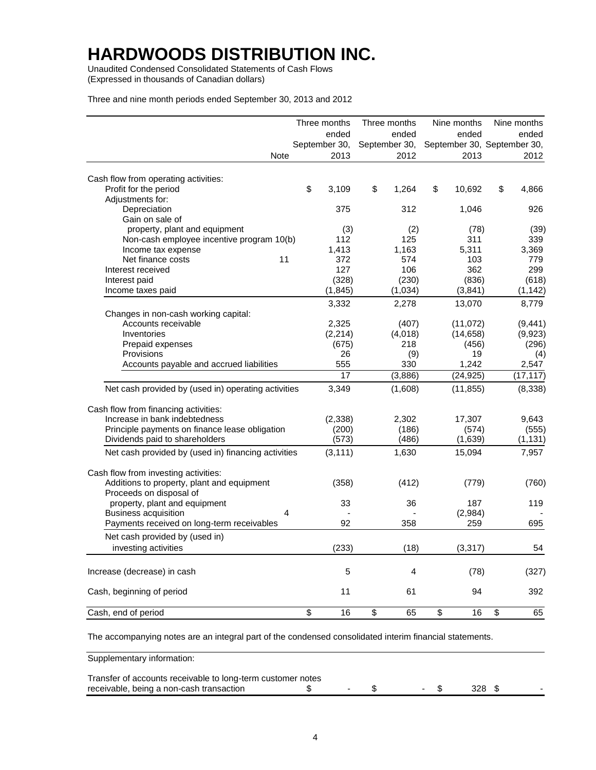Unaudited Condensed Consolidated Statements of Cash Flows (Expressed in thousands of Canadian dollars)

Three and nine month periods ended September 30, 2013 and 2012

|                                                     | Three months  | Three months  | Nine months  | Nine months                 |
|-----------------------------------------------------|---------------|---------------|--------------|-----------------------------|
|                                                     | ended         | ended         | ended        | ended                       |
|                                                     | September 30, | September 30, |              | September 30, September 30, |
| Note                                                | 2013          | 2012          | 2013         | 2012                        |
| Cash flow from operating activities:                |               |               |              |                             |
| Profit for the period                               | \$<br>3,109   | \$<br>1,264   | \$<br>10,692 | \$<br>4,866                 |
| Adjustments for:                                    |               |               |              |                             |
| Depreciation                                        | 375           | 312           | 1,046        | 926                         |
| Gain on sale of                                     |               |               |              |                             |
| property, plant and equipment                       | (3)           | (2)           | (78)         | (39)                        |
| Non-cash employee incentive program 10(b)           | 112           | 125           | 311          | 339                         |
| Income tax expense                                  | 1,413         | 1,163         | 5,311        | 3,369                       |
| 11<br>Net finance costs                             | 372           | 574           | 103          | 779                         |
| Interest received                                   | 127           | 106           | 362          | 299                         |
| Interest paid                                       | (328)         | (230)         | (836)        | (618)                       |
| Income taxes paid                                   | (1, 845)      | (1,034)       | (3,841)      | (1, 142)                    |
|                                                     | 3,332         | 2,278         | 13,070       | 8,779                       |
| Changes in non-cash working capital:                |               |               |              |                             |
| Accounts receivable                                 | 2,325         | (407)         | (11,072)     | (9, 441)                    |
| Inventories                                         | (2, 214)      | (4,018)       | (14, 658)    | (9,923)                     |
| Prepaid expenses                                    | (675)         | 218           | (456)        | (296)                       |
| Provisions                                          | 26            | (9)           | 19           | (4)                         |
| Accounts payable and accrued liabilities            | 555           | 330           | 1,242        | 2,547                       |
|                                                     | 17            | (3,886)       | (24, 925)    | (17, 117)                   |
| Net cash provided by (used in) operating activities | 3,349         | (1,608)       | (11, 855)    | (8, 338)                    |
| Cash flow from financing activities:                |               |               |              |                             |
| Increase in bank indebtedness                       | (2,338)       | 2,302         | 17,307       | 9,643                       |
| Principle payments on finance lease obligation      | (200)         | (186)         | (574)        | (555)                       |
| Dividends paid to shareholders                      | (573)         | (486)         | (1,639)      | (1, 131)                    |
| Net cash provided by (used in) financing activities | (3, 111)      | 1,630         | 15,094       | 7,957                       |
| Cash flow from investing activities:                |               |               |              |                             |
| Additions to property, plant and equipment          | (358)         | (412)         | (779)        | (760)                       |
| Proceeds on disposal of                             |               |               |              |                             |
| property, plant and equipment                       | 33            | 36            | 187          | 119                         |
| <b>Business acquisition</b><br>4                    |               |               | (2,984)      |                             |
| Payments received on long-term receivables          | 92            | 358           | 259          | 695                         |
| Net cash provided by (used in)                      |               |               |              |                             |
| investing activities                                | (233)         | (18)          | (3, 317)     | 54                          |
|                                                     |               |               |              |                             |
| Increase (decrease) in cash                         | 5             | 4             | (78)         | (327)                       |
| Cash, beginning of period                           | 11            | 61            | 94           | 392                         |
| Cash, end of period                                 | \$<br>16      | \$<br>65      | \$<br>16     | \$<br>65                    |

The accompanying notes are an integral part of the condensed consolidated interim financial statements.

Supplementary information:

| Transfer of accounts receivable to long-term customer notes |  |  |  |
|-------------------------------------------------------------|--|--|--|
| receivable, being a non-cash transaction                    |  |  |  |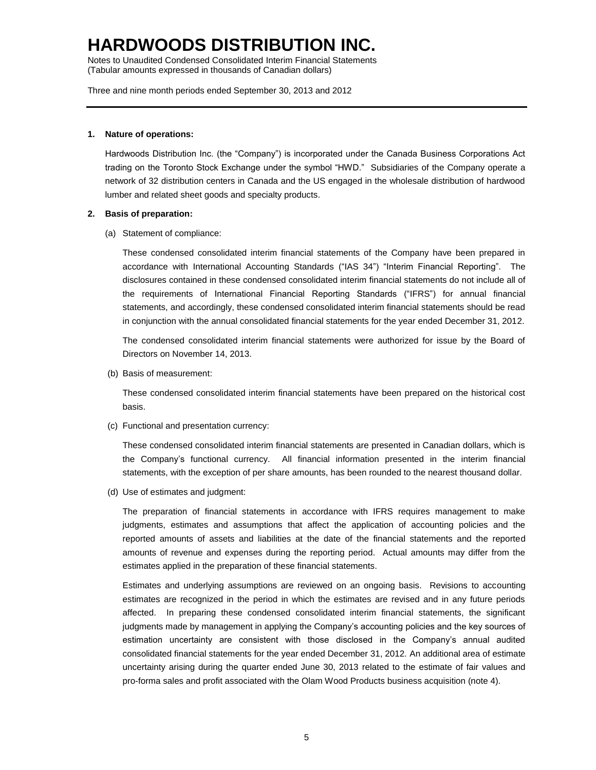Notes to Unaudited Condensed Consolidated Interim Financial Statements (Tabular amounts expressed in thousands of Canadian dollars)

Three and nine month periods ended September 30, 2013 and 2012

#### **1. Nature of operations:**

Hardwoods Distribution Inc. (the "Company") is incorporated under the Canada Business Corporations Act trading on the Toronto Stock Exchange under the symbol "HWD." Subsidiaries of the Company operate a network of 32 distribution centers in Canada and the US engaged in the wholesale distribution of hardwood lumber and related sheet goods and specialty products.

#### **2. Basis of preparation:**

(a) Statement of compliance:

These condensed consolidated interim financial statements of the Company have been prepared in accordance with International Accounting Standards ("IAS 34") "Interim Financial Reporting". The disclosures contained in these condensed consolidated interim financial statements do not include all of the requirements of International Financial Reporting Standards ("IFRS") for annual financial statements, and accordingly, these condensed consolidated interim financial statements should be read in conjunction with the annual consolidated financial statements for the year ended December 31, 2012.

The condensed consolidated interim financial statements were authorized for issue by the Board of Directors on November 14, 2013.

(b) Basis of measurement:

These condensed consolidated interim financial statements have been prepared on the historical cost basis.

(c) Functional and presentation currency:

These condensed consolidated interim financial statements are presented in Canadian dollars, which is the Company's functional currency. All financial information presented in the interim financial statements, with the exception of per share amounts, has been rounded to the nearest thousand dollar.

(d) Use of estimates and judgment:

The preparation of financial statements in accordance with IFRS requires management to make judgments, estimates and assumptions that affect the application of accounting policies and the reported amounts of assets and liabilities at the date of the financial statements and the reported amounts of revenue and expenses during the reporting period. Actual amounts may differ from the estimates applied in the preparation of these financial statements.

Estimates and underlying assumptions are reviewed on an ongoing basis. Revisions to accounting estimates are recognized in the period in which the estimates are revised and in any future periods affected. In preparing these condensed consolidated interim financial statements, the significant judgments made by management in applying the Company's accounting policies and the key sources of estimation uncertainty are consistent with those disclosed in the Company's annual audited consolidated financial statements for the year ended December 31, 2012. An additional area of estimate uncertainty arising during the quarter ended June 30, 2013 related to the estimate of fair values and pro-forma sales and profit associated with the Olam Wood Products business acquisition (note 4).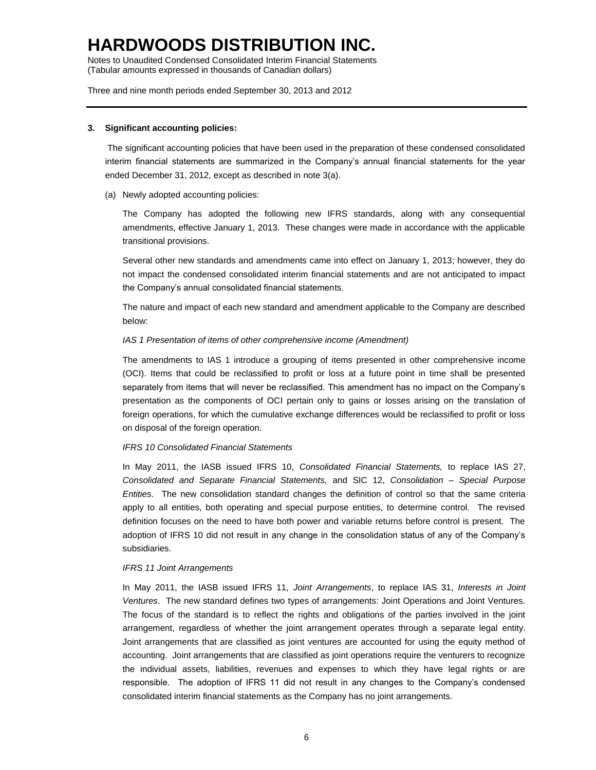Notes to Unaudited Condensed Consolidated Interim Financial Statements (Tabular amounts expressed in thousands of Canadian dollars)

Three and nine month periods ended September 30, 2013 and 2012

#### **3. Significant accounting policies:**

The significant accounting policies that have been used in the preparation of these condensed consolidated interim financial statements are summarized in the Company's annual financial statements for the year ended December 31, 2012, except as described in note 3(a).

(a) Newly adopted accounting policies:

The Company has adopted the following new IFRS standards, along with any consequential amendments, effective January 1, 2013. These changes were made in accordance with the applicable transitional provisions.

Several other new standards and amendments came into effect on January 1, 2013; however, they do not impact the condensed consolidated interim financial statements and are not anticipated to impact the Company's annual consolidated financial statements.

The nature and impact of each new standard and amendment applicable to the Company are described below:

### *IAS 1 Presentation of items of other comprehensive income (Amendment)*

The amendments to IAS 1 introduce a grouping of items presented in other comprehensive income (OCI). Items that could be reclassified to profit or loss at a future point in time shall be presented separately from items that will never be reclassified. This amendment has no impact on the Company's presentation as the components of OCI pertain only to gains or losses arising on the translation of foreign operations, for which the cumulative exchange differences would be reclassified to profit or loss on disposal of the foreign operation.

### *IFRS 10 Consolidated Financial Statements*

In May 2011, the IASB issued IFRS 10, *Consolidated Financial Statements,* to replace IAS 27, *Consolidated and Separate Financial Statements,* and SIC 12, *Consolidation – Special Purpose Entities*. The new consolidation standard changes the definition of control so that the same criteria apply to all entities, both operating and special purpose entities, to determine control. The revised definition focuses on the need to have both power and variable returns before control is present. The adoption of IFRS 10 did not result in any change in the consolidation status of any of the Company's subsidiaries.

#### *IFRS 11 Joint Arrangements*

In May 2011, the IASB issued IFRS 11, *Joint Arrangements*, to replace IAS 31, *Interests in Joint Ventures*. The new standard defines two types of arrangements: Joint Operations and Joint Ventures. The focus of the standard is to reflect the rights and obligations of the parties involved in the joint arrangement, regardless of whether the joint arrangement operates through a separate legal entity. Joint arrangements that are classified as joint ventures are accounted for using the equity method of accounting. Joint arrangements that are classified as joint operations require the venturers to recognize the individual assets, liabilities, revenues and expenses to which they have legal rights or are responsible. The adoption of IFRS 11 did not result in any changes to the Company's condensed consolidated interim financial statements as the Company has no joint arrangements.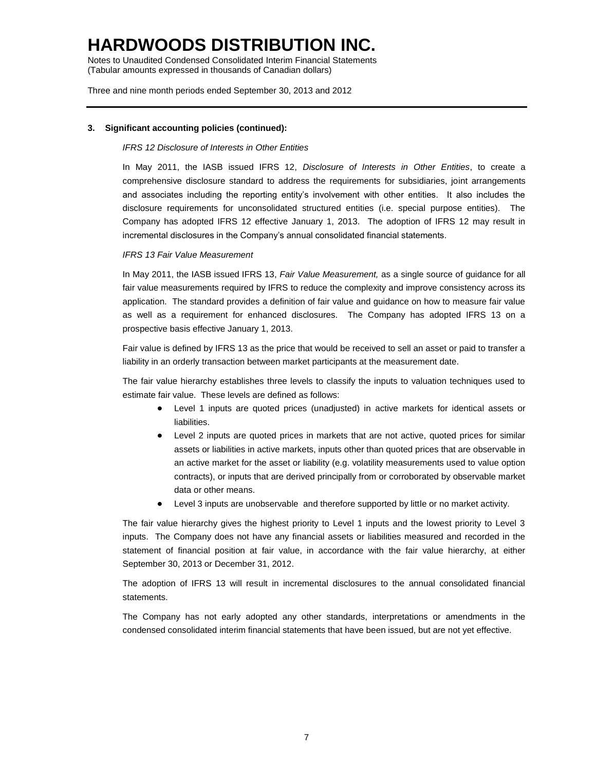Notes to Unaudited Condensed Consolidated Interim Financial Statements (Tabular amounts expressed in thousands of Canadian dollars)

Three and nine month periods ended September 30, 2013 and 2012

### **3. Significant accounting policies (continued):**

#### *IFRS 12 Disclosure of Interests in Other Entities*

In May 2011, the IASB issued IFRS 12, *Disclosure of Interests in Other Entities*, to create a comprehensive disclosure standard to address the requirements for subsidiaries, joint arrangements and associates including the reporting entity's involvement with other entities. It also includes the disclosure requirements for unconsolidated structured entities (i.e. special purpose entities). The Company has adopted IFRS 12 effective January 1, 2013. The adoption of IFRS 12 may result in incremental disclosures in the Company's annual consolidated financial statements.

#### *IFRS 13 Fair Value Measurement*

In May 2011, the IASB issued IFRS 13, *Fair Value Measurement,* as a single source of guidance for all fair value measurements required by IFRS to reduce the complexity and improve consistency across its application. The standard provides a definition of fair value and guidance on how to measure fair value as well as a requirement for enhanced disclosures. The Company has adopted IFRS 13 on a prospective basis effective January 1, 2013.

Fair value is defined by IFRS 13 as the price that would be received to sell an asset or paid to transfer a liability in an orderly transaction between market participants at the measurement date.

The fair value hierarchy establishes three levels to classify the inputs to valuation techniques used to estimate fair value. These levels are defined as follows:

- Level 1 inputs are quoted prices (unadjusted) in active markets for identical assets or liabilities.
- Level 2 inputs are quoted prices in markets that are not active, quoted prices for similar assets or liabilities in active markets, inputs other than quoted prices that are observable in an active market for the asset or liability (e.g. volatility measurements used to value option contracts), or inputs that are derived principally from or corroborated by observable market data or other means.
- Level 3 inputs are unobservable and therefore supported by little or no market activity.

The fair value hierarchy gives the highest priority to Level 1 inputs and the lowest priority to Level 3 inputs. The Company does not have any financial assets or liabilities measured and recorded in the statement of financial position at fair value, in accordance with the fair value hierarchy, at either September 30, 2013 or December 31, 2012.

The adoption of IFRS 13 will result in incremental disclosures to the annual consolidated financial statements.

The Company has not early adopted any other standards, interpretations or amendments in the condensed consolidated interim financial statements that have been issued, but are not yet effective.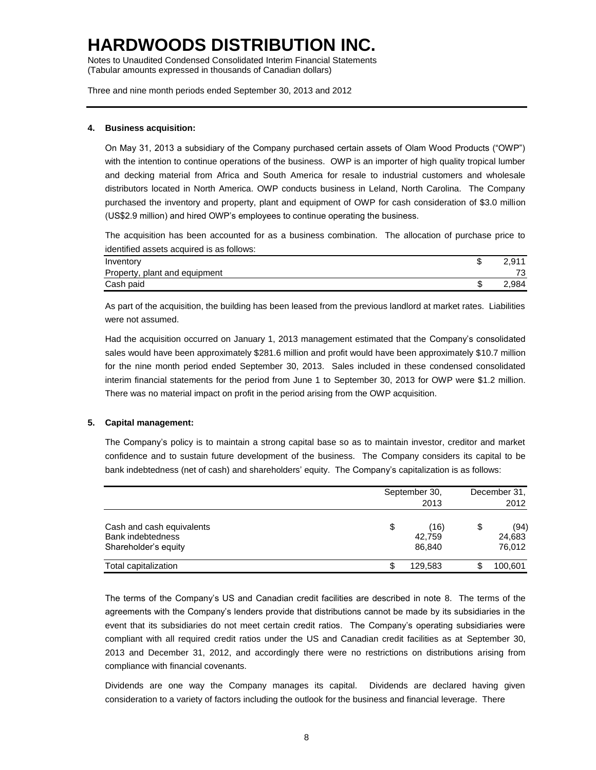Notes to Unaudited Condensed Consolidated Interim Financial Statements (Tabular amounts expressed in thousands of Canadian dollars)

Three and nine month periods ended September 30, 2013 and 2012

### **4. Business acquisition:**

On May 31, 2013 a subsidiary of the Company purchased certain assets of Olam Wood Products ("OWP") with the intention to continue operations of the business. OWP is an importer of high quality tropical lumber and decking material from Africa and South America for resale to industrial customers and wholesale distributors located in North America. OWP conducts business in Leland, North Carolina. The Company purchased the inventory and property, plant and equipment of OWP for cash consideration of \$3.0 million (US\$2.9 million) and hired OWP's employees to continue operating the business.

The acquisition has been accounted for as a business combination. The allocation of purchase price to identified assets acquired is as follows:

| Inventory                     | ጦ<br>J | 2.911 |
|-------------------------------|--------|-------|
| Property, plant and equipment |        | 73    |
| Cash paid                     | J      | 2.984 |

As part of the acquisition, the building has been leased from the previous landlord at market rates. Liabilities were not assumed.

Had the acquisition occurred on January 1, 2013 management estimated that the Company's consolidated sales would have been approximately \$281.6 million and profit would have been approximately \$10.7 million for the nine month period ended September 30, 2013. Sales included in these condensed consolidated interim financial statements for the period from June 1 to September 30, 2013 for OWP were \$1.2 million. There was no material impact on profit in the period arising from the OWP acquisition.

### **5. Capital management:**

The Company's policy is to maintain a strong capital base so as to maintain investor, creditor and market confidence and to sustain future development of the business. The Company considers its capital to be bank indebtedness (net of cash) and shareholders' equity. The Company's capitalization is as follows:

|                                                                               | September 30,<br>2013          |    |                          |  |  |
|-------------------------------------------------------------------------------|--------------------------------|----|--------------------------|--|--|
| Cash and cash equivalents<br><b>Bank indebtedness</b><br>Shareholder's equity | \$<br>(16)<br>42.759<br>86,840 | \$ | (94)<br>24,683<br>76,012 |  |  |
| Total capitalization                                                          | 129.583                        |    | 100,601                  |  |  |

The terms of the Company's US and Canadian credit facilities are described in note 8. The terms of the agreements with the Company's lenders provide that distributions cannot be made by its subsidiaries in the event that its subsidiaries do not meet certain credit ratios. The Company's operating subsidiaries were compliant with all required credit ratios under the US and Canadian credit facilities as at September 30, 2013 and December 31, 2012, and accordingly there were no restrictions on distributions arising from compliance with financial covenants.

Dividends are one way the Company manages its capital. Dividends are declared having given consideration to a variety of factors including the outlook for the business and financial leverage. There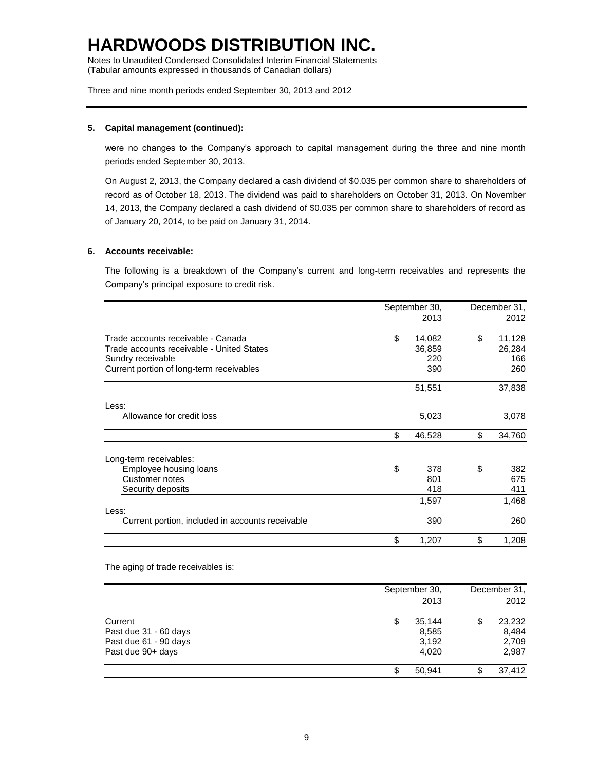Notes to Unaudited Condensed Consolidated Interim Financial Statements (Tabular amounts expressed in thousands of Canadian dollars)

Three and nine month periods ended September 30, 2013 and 2012

### **5. Capital management (continued):**

were no changes to the Company's approach to capital management during the three and nine month periods ended September 30, 2013.

On August 2, 2013, the Company declared a cash dividend of \$0.035 per common share to shareholders of record as of October 18, 2013. The dividend was paid to shareholders on October 31, 2013. On November 14, 2013, the Company declared a cash dividend of \$0.035 per common share to shareholders of record as of January 20, 2014, to be paid on January 31, 2014.

### **6. Accounts receivable:**

The following is a breakdown of the Company's current and long-term receivables and represents the Company's principal exposure to credit risk.

|                                                  | September 30, | December 31. |        |  |
|--------------------------------------------------|---------------|--------------|--------|--|
|                                                  | 2013          |              | 2012   |  |
| Trade accounts receivable - Canada               | \$<br>14,082  | \$           | 11,128 |  |
| Trade accounts receivable - United States        | 36,859        |              | 26,284 |  |
| Sundry receivable                                | 220           |              | 166    |  |
| Current portion of long-term receivables         | 390           |              | 260    |  |
|                                                  | 51,551        |              | 37,838 |  |
| Less:                                            |               |              |        |  |
| Allowance for credit loss                        | 5,023         |              | 3,078  |  |
|                                                  | \$<br>46,528  | \$           | 34,760 |  |
| Long-term receivables:                           |               |              |        |  |
| Employee housing loans                           | \$<br>378     | \$           | 382    |  |
| Customer notes                                   | 801           |              | 675    |  |
| Security deposits                                | 418           |              | 411    |  |
|                                                  | 1,597         |              | 1,468  |  |
| Less:                                            |               |              |        |  |
| Current portion, included in accounts receivable | 390           |              | 260    |  |
|                                                  | \$<br>1,207   | \$           | 1,208  |  |

The aging of trade receivables is:

|                                                                                | September 30, | 2013                              | December 31,<br>2012                    |
|--------------------------------------------------------------------------------|---------------|-----------------------------------|-----------------------------------------|
| Current<br>Past due 31 - 60 days<br>Past due 61 - 90 days<br>Past due 90+ days | \$            | 35.144<br>8,585<br>3,192<br>4,020 | \$<br>23,232<br>8,484<br>2,709<br>2,987 |
|                                                                                |               | 50.941                            | \$<br>37,412                            |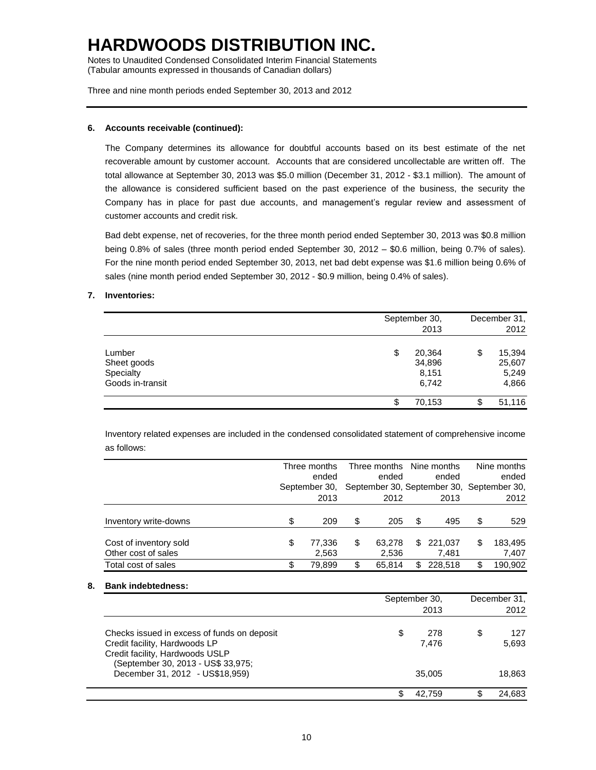Notes to Unaudited Condensed Consolidated Interim Financial Statements (Tabular amounts expressed in thousands of Canadian dollars)

Three and nine month periods ended September 30, 2013 and 2012

### **6. Accounts receivable (continued):**

The Company determines its allowance for doubtful accounts based on its best estimate of the net recoverable amount by customer account. Accounts that are considered uncollectable are written off. The total allowance at September 30, 2013 was \$5.0 million (December 31, 2012 - \$3.1 million). The amount of the allowance is considered sufficient based on the past experience of the business, the security the Company has in place for past due accounts, and management's regular review and assessment of customer accounts and credit risk.

Bad debt expense, net of recoveries, for the three month period ended September 30, 2013 was \$0.8 million being 0.8% of sales (three month period ended September 30, 2012 – \$0.6 million, being 0.7% of sales). For the nine month period ended September 30, 2013, net bad debt expense was \$1.6 million being 0.6% of sales (nine month period ended September 30, 2012 - \$0.9 million, being 0.4% of sales).

### **7. Inventories:**

|                                                        | September 30,<br>2013                    | December 31,<br>2012                     |
|--------------------------------------------------------|------------------------------------------|------------------------------------------|
| Lumber<br>Sheet goods<br>Specialty<br>Goods in-transit | \$<br>20,364<br>34,896<br>8,151<br>6,742 | \$<br>15,394<br>25,607<br>5,249<br>4,866 |
|                                                        | 70,153<br>Ф                              | \$<br>51,116                             |

Inventory related expenses are included in the condensed consolidated statement of comprehensive income as follows:

|                                               | Three months<br>ended<br>September 30. | Three months Nine months<br>ended<br>September 30, September 30, September 30, |    | ended            |    | Nine months<br>ended |
|-----------------------------------------------|----------------------------------------|--------------------------------------------------------------------------------|----|------------------|----|----------------------|
|                                               | 2013                                   | 2012                                                                           |    | 2013             |    | 2012                 |
| Inventory write-downs                         | \$<br>209                              | \$<br>205                                                                      | S  | 495              | \$ | 529                  |
| Cost of inventory sold<br>Other cost of sales | \$<br>77,336<br>2,563                  | \$<br>63.278<br>2.536                                                          | \$ | 221,037<br>7.481 | \$ | 183,495<br>7,407     |
| Total cost of sales                           | \$<br>79.899                           | \$<br>65.814                                                                   | \$ | 228.518          | \$ | 190,902              |

### **8. Bank indebtedness:**

|                                                                                                                                                       | September 30, | December 31,<br>2012 |    |                  |
|-------------------------------------------------------------------------------------------------------------------------------------------------------|---------------|----------------------|----|------------------|
| Checks issued in excess of funds on deposit<br>Credit facility, Hardwoods LP<br>Credit facility, Hardwoods USLP<br>(September 30, 2013 - US\$ 33,975; | \$            | 278<br>7.476         | \$ | 127<br>5,693     |
| December 31, 2012 - US\$18,959)                                                                                                                       |               | 35,005<br>42.759     |    | 18,863<br>24.683 |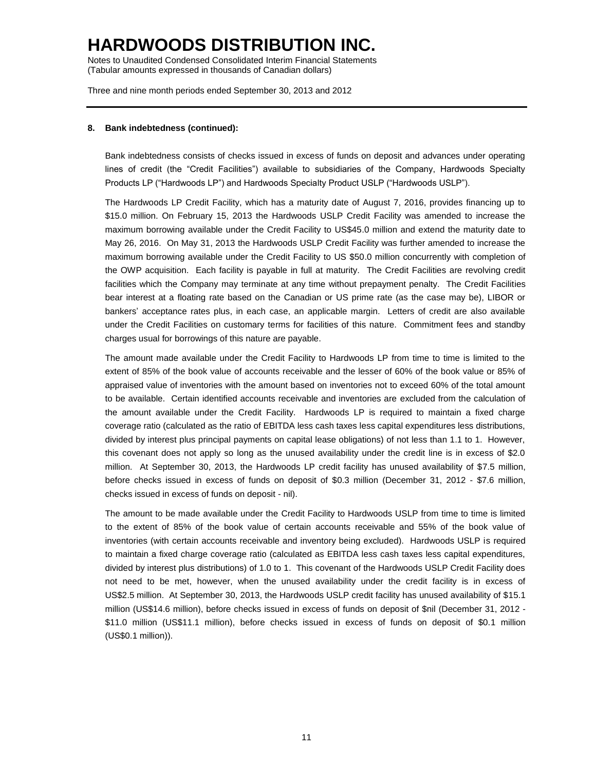Notes to Unaudited Condensed Consolidated Interim Financial Statements (Tabular amounts expressed in thousands of Canadian dollars)

Three and nine month periods ended September 30, 2013 and 2012

### **8. Bank indebtedness (continued):**

Bank indebtedness consists of checks issued in excess of funds on deposit and advances under operating lines of credit (the "Credit Facilities") available to subsidiaries of the Company, Hardwoods Specialty Products LP ("Hardwoods LP") and Hardwoods Specialty Product USLP ("Hardwoods USLP").

The Hardwoods LP Credit Facility, which has a maturity date of August 7, 2016, provides financing up to \$15.0 million. On February 15, 2013 the Hardwoods USLP Credit Facility was amended to increase the maximum borrowing available under the Credit Facility to US\$45.0 million and extend the maturity date to May 26, 2016. On May 31, 2013 the Hardwoods USLP Credit Facility was further amended to increase the maximum borrowing available under the Credit Facility to US \$50.0 million concurrently with completion of the OWP acquisition. Each facility is payable in full at maturity. The Credit Facilities are revolving credit facilities which the Company may terminate at any time without prepayment penalty. The Credit Facilities bear interest at a floating rate based on the Canadian or US prime rate (as the case may be), LIBOR or bankers' acceptance rates plus, in each case, an applicable margin. Letters of credit are also available under the Credit Facilities on customary terms for facilities of this nature. Commitment fees and standby charges usual for borrowings of this nature are payable.

The amount made available under the Credit Facility to Hardwoods LP from time to time is limited to the extent of 85% of the book value of accounts receivable and the lesser of 60% of the book value or 85% of appraised value of inventories with the amount based on inventories not to exceed 60% of the total amount to be available. Certain identified accounts receivable and inventories are excluded from the calculation of the amount available under the Credit Facility. Hardwoods LP is required to maintain a fixed charge coverage ratio (calculated as the ratio of EBITDA less cash taxes less capital expenditures less distributions, divided by interest plus principal payments on capital lease obligations) of not less than 1.1 to 1. However, this covenant does not apply so long as the unused availability under the credit line is in excess of \$2.0 million. At September 30, 2013, the Hardwoods LP credit facility has unused availability of \$7.5 million, before checks issued in excess of funds on deposit of \$0.3 million (December 31, 2012 - \$7.6 million, checks issued in excess of funds on deposit - nil).

The amount to be made available under the Credit Facility to Hardwoods USLP from time to time is limited to the extent of 85% of the book value of certain accounts receivable and 55% of the book value of inventories (with certain accounts receivable and inventory being excluded). Hardwoods USLP is required to maintain a fixed charge coverage ratio (calculated as EBITDA less cash taxes less capital expenditures, divided by interest plus distributions) of 1.0 to 1. This covenant of the Hardwoods USLP Credit Facility does not need to be met, however, when the unused availability under the credit facility is in excess of US\$2.5 million. At September 30, 2013, the Hardwoods USLP credit facility has unused availability of \$15.1 million (US\$14.6 million), before checks issued in excess of funds on deposit of \$nil (December 31, 2012 - \$11.0 million (US\$11.1 million), before checks issued in excess of funds on deposit of \$0.1 million (US\$0.1 million)).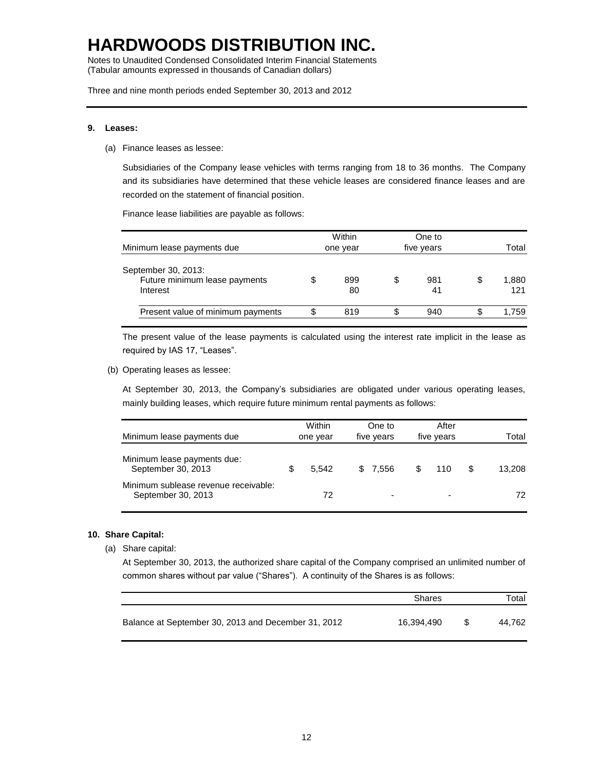Notes to Unaudited Condensed Consolidated Interim Financial Statements (Tabular amounts expressed in thousands of Canadian dollars)

Three and nine month periods ended September 30, 2013 and 2012

#### **9. Leases:**

(a) Finance leases as lessee:

Subsidiaries of the Company lease vehicles with terms ranging from 18 to 36 months. The Company and its subsidiaries have determined that these vehicle leases are considered finance leases and are recorded on the statement of financial position.

Finance lease liabilities are payable as follows:

|                                                                  | Within    |   | One to     |    |              |
|------------------------------------------------------------------|-----------|---|------------|----|--------------|
| Minimum lease payments due                                       | one year  |   | five years |    | Total        |
| September 30, 2013:<br>Future minimum lease payments<br>Interest | 899<br>80 | S | 981<br>41  | \$ | 1,880<br>121 |
| Present value of minimum payments                                | 819       | S | 940        | S  | 1.759        |
|                                                                  |           |   |            |    |              |

The present value of the lease payments is calculated using the interest rate implicit in the lease as required by IAS 17, "Leases".

(b) Operating leases as lessee:

At September 30, 2013, the Company's subsidiaries are obligated under various operating leases, mainly building leases, which require future minimum rental payments as follows:

| Minimum lease payments due                                 | Within<br>one year | One to<br>five years | After<br>five years      | Total  |
|------------------------------------------------------------|--------------------|----------------------|--------------------------|--------|
|                                                            |                    |                      |                          |        |
| Minimum lease payments due:<br>September 30, 2013          | 5.542              | \$ 7.556             | 110                      | 13.208 |
| Minimum sublease revenue receivable:<br>September 30, 2013 | 72                 |                      | $\overline{\phantom{0}}$ | 72     |

### **10. Share Capital:**

(a) Share capital:

At September 30, 2013, the authorized share capital of the Company comprised an unlimited number of common shares without par value ("Shares"). A continuity of the Shares is as follows:

|                                                     | Shares     | Total  |
|-----------------------------------------------------|------------|--------|
| Balance at September 30, 2013 and December 31, 2012 | 16.394.490 | 44.762 |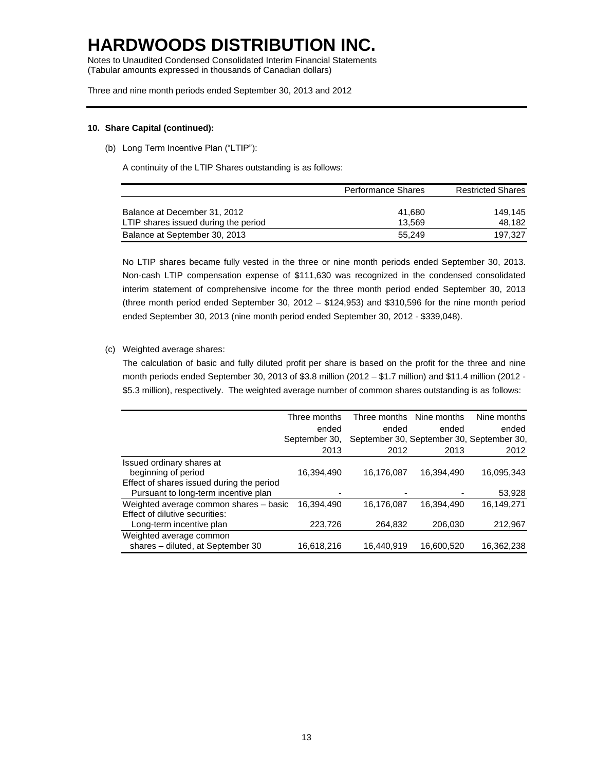Notes to Unaudited Condensed Consolidated Interim Financial Statements (Tabular amounts expressed in thousands of Canadian dollars)

Three and nine month periods ended September 30, 2013 and 2012

#### **10. Share Capital (continued):**

(b) Long Term Incentive Plan ("LTIP"):

A continuity of the LTIP Shares outstanding is as follows:

|                                      | <b>Performance Shares</b> | <b>Restricted Shares</b> |
|--------------------------------------|---------------------------|--------------------------|
|                                      |                           |                          |
| Balance at December 31, 2012         | 41.680                    | 149.145                  |
| LTIP shares issued during the period | 13.569                    | 48.182                   |
| Balance at September 30, 2013        | 55.249                    | 197.327                  |

No LTIP shares became fully vested in the three or nine month periods ended September 30, 2013. Non-cash LTIP compensation expense of \$111,630 was recognized in the condensed consolidated interim statement of comprehensive income for the three month period ended September 30, 2013 (three month period ended September 30, 2012 – \$124,953) and \$310,596 for the nine month period ended September 30, 2013 (nine month period ended September 30, 2012 - \$339,048).

### (c) Weighted average shares:

The calculation of basic and fully diluted profit per share is based on the profit for the three and nine month periods ended September 30, 2013 of \$3.8 million (2012 – \$1.7 million) and \$11.4 million (2012 - \$5.3 million), respectively. The weighted average number of common shares outstanding is as follows:

|                                           | Three months  |            | Three months Nine months | Nine months                               |
|-------------------------------------------|---------------|------------|--------------------------|-------------------------------------------|
|                                           | ended         | ended      | ended                    | ended                                     |
|                                           | September 30, |            |                          | September 30, September 30, September 30, |
|                                           | 2013          | 2012       | 2013                     | 2012                                      |
| Issued ordinary shares at                 |               |            |                          |                                           |
| beginning of period                       | 16,394,490    | 16,176,087 | 16,394,490               | 16,095,343                                |
| Effect of shares issued during the period |               |            |                          |                                           |
| Pursuant to long-term incentive plan      |               |            |                          | 53,928                                    |
| Weighted average common shares - basic    | 16.394.490    | 16,176,087 | 16.394.490               | 16,149,271                                |
| Effect of dilutive securities:            |               |            |                          |                                           |
| Long-term incentive plan                  | 223,726       | 264,832    | 206,030                  | 212,967                                   |
| Weighted average common                   |               |            |                          |                                           |
| shares - diluted, at September 30         | 16,618,216    | 16,440,919 | 16,600,520               | 16.362.238                                |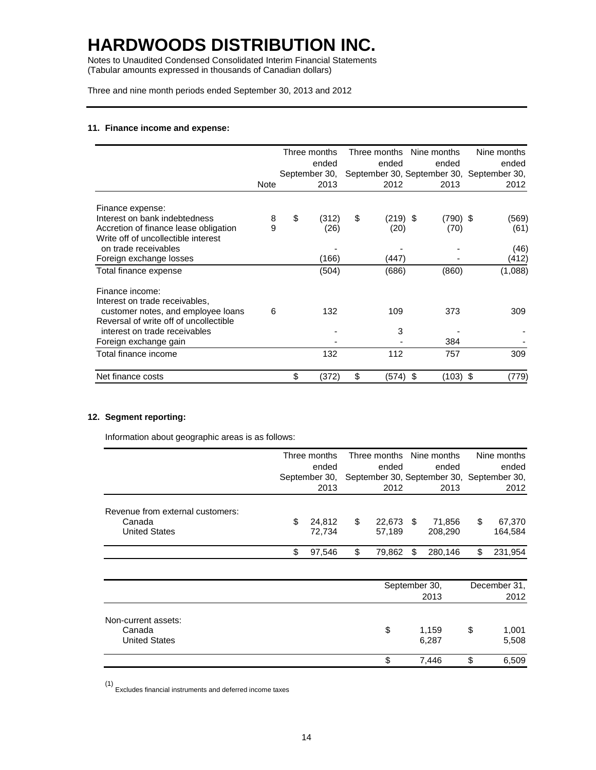Notes to Unaudited Condensed Consolidated Interim Financial Statements (Tabular amounts expressed in thousands of Canadian dollars)

Three and nine month periods ended September 30, 2013 and 2012

### **11. Finance income and expense:**

|                                        |             | Three months  | Three months     | Nine months   | Nine months                               |
|----------------------------------------|-------------|---------------|------------------|---------------|-------------------------------------------|
|                                        |             | ended         | ended            | ended         | ended                                     |
|                                        |             | September 30, |                  |               | September 30, September 30, September 30, |
|                                        | <b>Note</b> | 2013          | 2012             | 2013          | 2012                                      |
| Finance expense:                       |             |               |                  |               |                                           |
| Interest on bank indebtedness          | 8           | \$<br>(312)   | \$<br>$(219)$ \$ | $(790)$ \$    | (569)                                     |
| Accretion of finance lease obligation  | 9           | (26)          | (20)             | (70)          | (61)                                      |
| Write off of uncollectible interest    |             |               |                  |               |                                           |
| on trade receivables                   |             |               |                  |               | (46)                                      |
| Foreign exchange losses                |             | (166)         | (447)            |               | (412)                                     |
| Total finance expense                  |             | (504)         | (686)            | (860)         | (1,088)                                   |
| Finance income:                        |             |               |                  |               |                                           |
| Interest on trade receivables,         |             |               |                  |               |                                           |
| customer notes, and employee loans     | 6           | 132           | 109              | 373           | 309                                       |
| Reversal of write off of uncollectible |             |               |                  |               |                                           |
| interest on trade receivables          |             |               | 3                |               |                                           |
| Foreign exchange gain                  |             |               |                  | 384           |                                           |
| Total finance income                   |             | 132           | 112              | 757           | 309                                       |
| Net finance costs                      |             | \$<br>(372)   | \$<br>(574)      | (103) \$<br>S | (779)                                     |

### **12. Segment reporting:**

Information about geographic areas is as follows:

|                                  | Three months |               | Three months Nine months |                                           |      |               | Nine months |              |  |
|----------------------------------|--------------|---------------|--------------------------|-------------------------------------------|------|---------------|-------------|--------------|--|
|                                  | ended        |               |                          | ended                                     |      | ended         |             | ended        |  |
|                                  |              | September 30, |                          | September 30, September 30, September 30, |      |               |             |              |  |
|                                  |              | 2013          |                          | 2012                                      |      | 2013          |             | 2012         |  |
| Revenue from external customers: |              |               |                          |                                           |      |               |             |              |  |
| Canada                           | \$           | 24,812        | \$                       | 22,673                                    | - \$ | 71,856        | \$          | 67,370       |  |
| <b>United States</b>             |              | 72,734        |                          | 57,189                                    |      | 208,290       |             | 164,584      |  |
|                                  | \$           | 97,546        | \$                       | 79,862                                    | S.   | 280,146       | \$          | 231,954      |  |
|                                  |              |               |                          |                                           |      |               |             |              |  |
|                                  |              |               |                          |                                           |      | September 30, |             | December 31, |  |
|                                  |              |               |                          |                                           |      | 2013          |             | 2012         |  |
| Non-current assets:              |              |               |                          |                                           |      |               |             |              |  |
| Canada                           |              |               |                          | \$                                        |      | 1,159         | \$          | 1,001        |  |
| <b>United States</b>             |              |               |                          |                                           |      | 6,287         |             | 5,508        |  |
|                                  |              |               |                          | \$                                        |      | 7,446         | \$          | 6,509        |  |

(1) Excludes financial instruments and deferred income taxes